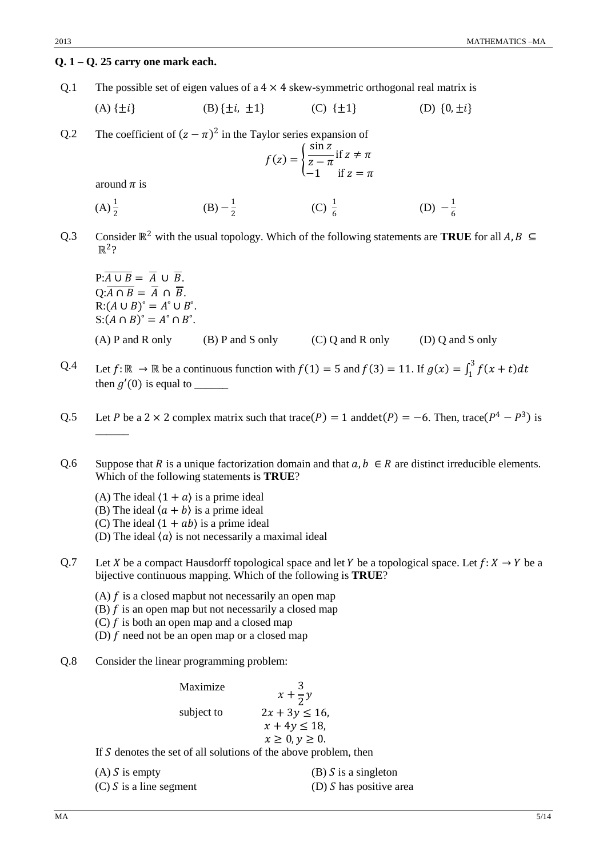#### **Q. 1 – Q. 25 carry one mark each.**

Q.1 The possible set of eigen values of a  $4 \times 4$  skew-symmetric orthogonal real matrix is

(A) 
$$
\{\pm i\}
$$
 (B)  $\{\pm i, \pm 1\}$  (C)  $\{\pm 1\}$  (D)  $\{0, \pm i\}$ 

Q.2 The coefficient of  $(z - \pi)^2$  in the Taylor series expansion of

$$
f(z) = \begin{cases} \frac{\sin z}{z - \pi} & \text{if } z \neq \pi \\ -1 & \text{if } z = \pi \end{cases}
$$

around  $\pi$  is

- $(A) \frac{1}{2}$  $\frac{1}{2}$  (B)  $-\frac{1}{2}$  (C)  $\frac{1}{6}$  (D)  $-\frac{1}{6}$
- Q.3 Consider  $\mathbb{R}^2$  with the usual topology. Which of the following statements are **TRUE** for all  $A, B \subseteq$  $\mathbb{R}^2$ ?

 $P: \overline{A \cup B} = \overline{A} \cup \overline{B}.$  $Q: \overline{A \cap B} = \overline{A} \cap \overline{B}$ .  $R: (A \cup B)^\circ = A^\circ \cup B^\circ$ .  $S: (A \cap B)^{\circ} = A^{\circ} \cap B^{\circ}.$ (A) P and R only (B) P and S only (C) Q and R only (D) Q and S only

- Q.4 Let  $f: \mathbb{R} \to \mathbb{R}$  be a continuous function with  $f(1) = 5$  and  $f(3) = 11$ . If  $g(x) = \int_1^3 f(x + t) dt$ then  $g'(0)$  is equal to
- Q.5 Let *P* be a 2 × 2 complex matrix such that trace( $P$ ) = 1 anddet( $P$ ) = −6. Then, trace( $P^4 P^3$ ) is  $\overline{\phantom{a}}$
- Q.6 Suppose that R is a unique factorization domain and that  $a, b \in R$  are distinct irreducible elements. Which of the following statements is **TRUE**?
	- (A) The ideal  $(1 + a)$  is a prime ideal
	- (B) The ideal  $\langle a + b \rangle$  is a prime ideal
	- (C) The ideal  $(1 + ab)$  is a prime ideal
	- (D) The ideal  $\langle a \rangle$  is not necessarily a maximal ideal
- Q.7 Let X be a compact Hausdorff topological space and let Y be a topological space. Let  $f: X \to Y$  be a bijective continuous mapping. Which of the following is **TRUE**?
	- (A)  $f$  is a closed mapbut not necessarily an open map
	- (B)  $f$  is an open map but not necessarily a closed map
	- (C)  $f$  is both an open map and a closed map
	- (D)  $f$  need not be an open map or a closed map
- Q.8 Consider the linear programming problem:

Maximize  $x +$ 3  $\overline{2}^y$ subject to  $2x + 3y \le 16$ ,  $x + 4y \le 18$ ,  $x \geq 0, y \geq 0.$ If  $S$  denotes the set of all solutions of the above problem, then

| $(A)$ S is empty          | (B) S is a singleton      |
|---------------------------|---------------------------|
| $(C)$ S is a line segment | (D) $S$ has positive area |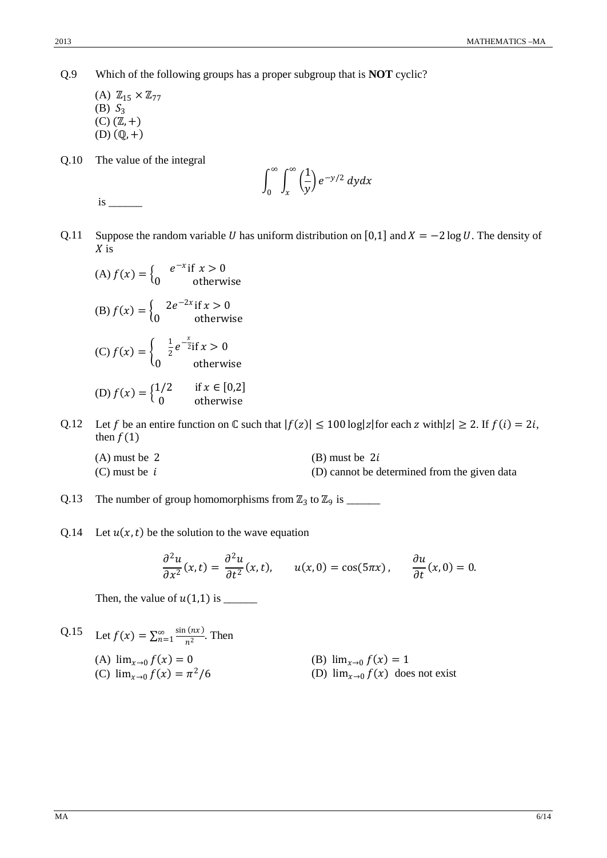Q.9 Which of the following groups has a proper subgroup that is **NOT** cyclic?

 $(A)$   $\mathbb{Z}_{15} \times \mathbb{Z}_{77}$ (B)  $S_3$  $(C)$   $(\mathbb{Z}, +)$  $(D)$  $(Q, +)$ 

Q.10 The value of the integral

$$
\int_0^\infty \int_x^\infty \left(\frac{1}{y}\right) e^{-y/2} dy dx
$$

is \_\_\_\_\_\_

- Q.11 Suppose the random variable U has uniform distribution on [0,1] and  $X = -2 \log U$ . The density of  $X$  is
	- (A)  $f(x) = \begin{cases} e^{-x} \text{ if } x > 0 \\ 0 \text{ otherwise} \end{cases}$ (B)  $f(x) = \begin{cases} 2e^{-2x} \text{ if } x > 0 \\ 0 \text{ otherwise} \end{cases}$ (C)  $f(x) = \begin{cases} \frac{1}{2} \end{cases}$  $\frac{1}{2}e^{-\frac{x}{2}}$ if  $x > 0$ 0 otherwise (D)  $f(x) = \begin{cases} 1/2 & \text{if } x \in [0,2] \\ 0 & \text{otherwise} \end{cases}$ 0 otherwise
- Q.12 Let f be an entire function on  $\mathbb C$  such that  $|f(z)| \le 100 \log|z|$  for each  $z$  with  $|z| \ge 2$ . If  $f(i) = 2i$ , then  $f(1)$ 
	- $(A)$  must be 2 (B) must be 2*i* (C) must be  $i$  (D) cannot be determined from the given data
- Q.13 The number of group homomorphisms from  $\mathbb{Z}_3$  to  $\mathbb{Z}_9$  is \_\_\_\_\_\_\_\_
- Q.14 Let  $u(x, t)$  be the solution to the wave equation

$$
\frac{\partial^2 u}{\partial x^2}(x,t) = \frac{\partial^2 u}{\partial t^2}(x,t), \qquad u(x,0) = \cos(5\pi x), \qquad \frac{\partial u}{\partial t}(x,0) = 0.
$$

Then, the value of (1,1) is \_\_\_\_\_\_

Q.15 Let 
$$
f(x) = \sum_{n=1}^{\infty} \frac{\sin(nx)}{n^2}
$$
. Then  
\n(A)  $\lim_{x \to 0} f(x) = 0$   
\n(B)  $\lim_{x \to 0} f(x) = 1$   
\n(C)  $\lim_{x \to 0} f(x) = \pi^2/6$   
\n(B)  $\lim_{x \to 0} f(x) = 1$   
\n(D)  $\lim_{x \to 0} f(x)$  does not exist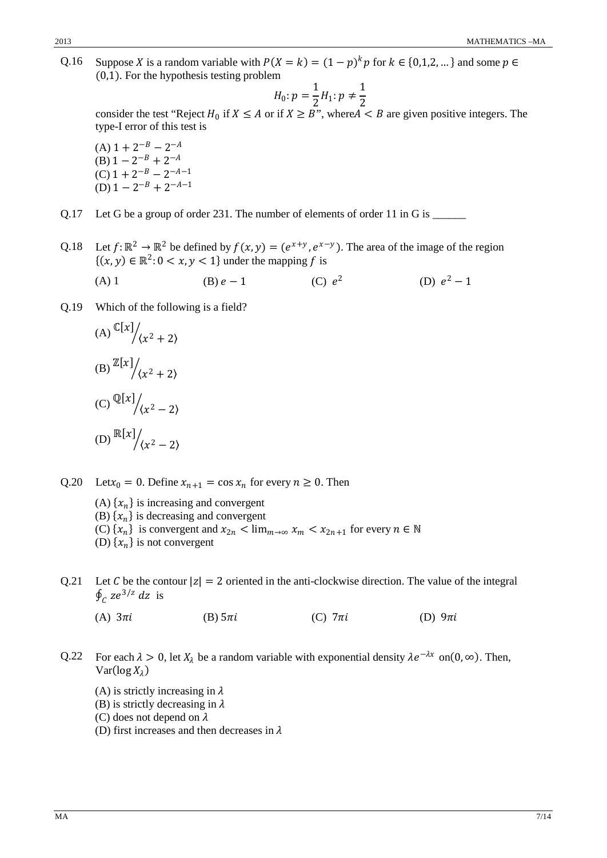Q.16 Suppose X is a random variable with  $P(X = k) = (1 - p)^k p$  for  $k \in \{0, 1, 2, ...\}$  and some  $p \in$ (0,1). For the hypothesis testing problem

$$
H_0: p = \frac{1}{2}H_1: p \neq \frac{1}{2}
$$

 $H_0: p = \frac{1}{2}H_1: p \neq \frac{1}{2}$ <br>consider the test "Reject  $H_0$  if  $X \le A$  or if  $X \ge B$ ", where  $A < B$  are given positive integers. The type-I error of this test is

 $(A)$  1 + 2<sup>-B</sup> – 2<sup>-A</sup>  $(B)$  1 – 2<sup>-B</sup> + 2<sup>-A</sup>  $(C)$  1 + 2<sup>-B</sup> – 2<sup>-A-1</sup> (D)  $1 - 2^{-B} + 2^{-A-1}$ 

Q.17 Let G be a group of order 231. The number of elements of order 11 in G is \_\_\_\_\_\_

Q.18 Let  $f: \mathbb{R}^2 \to \mathbb{R}^2$  be defined by  $f(x, y) = (e^{x+y}, e^{x-y})$ . The area of the image of the region  $\{(x, y) \in \mathbb{R}^2 : 0 < x, y < 1\}$  under the mapping f is

(A) 1 (B)  $e-1$  (C)  $e^2$  (D)  $e^2-1$ 

Q.19 Which of the following is a field?

(A) 
$$
\mathbb{C}[x]/(x^2 + 2)
$$
  
\n(B)  $\mathbb{Z}[x]/(x^2 + 2)$   
\n(C)  $\mathbb{Q}[x]/(x^2 - 2)$   
\n(D)  $\mathbb{R}[x]/(x^2 - 2)$ 

Q.20 Let $x_0 = 0$ . Define  $x_{n+1} = \cos x_n$  for every  $n \ge 0$ . Then

(A)  $\{x_n\}$  is increasing and convergent (B)  $\{x_n\}$  is decreasing and convergent (C)  $\{x_n\}$  is convergent and  $x_{2n} < \lim_{m \to \infty} x_m < x_{2n+1}$  for every  $n \in \mathbb{N}$ (D)  $\{x_n\}$  is not convergent

- Q.21 Let C be the contour  $|z| = 2$  oriented in the anti-clockwise direction. The value of the integral  $\oint_C ze^{3/z} dz$  is
	- (A)  $3\pi i$  (B)  $5\pi i$  (C)  $7\pi i$  (D)  $9\pi$
- Q.22 For each  $\lambda > 0$ , let  $X_{\lambda}$  be a random variable with exponential density  $\lambda e^{-\lambda x}$  on(0, ∞). Then,  $Var(log X_{\lambda})$ 
	- (A) is strictly increasing in  $\lambda$
	- (B) is strictly decreasing in  $\lambda$
	- (C) does not depend on  $\lambda$
	- (D) first increases and then decreases in  $\lambda$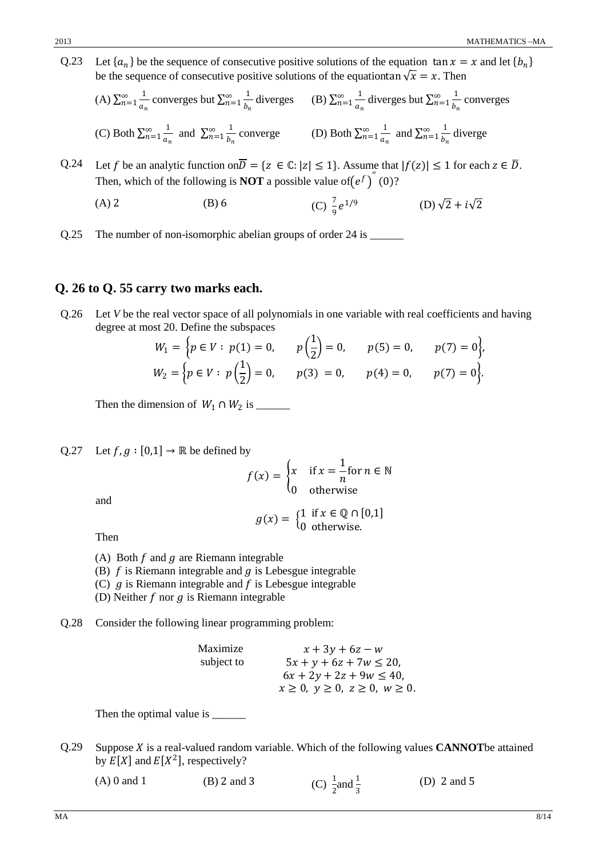Q.23 Let  $\{a_n\}$  be the sequence of consecutive positive solutions of the equation  $\tan x = x$  and let  $\{b_n\}$ be the sequence of consecutive positive solutions of the equationtan  $\sqrt{x} = x$ . Then

(A) 
$$
\sum_{n=1}^{\infty} \frac{1}{a_n}
$$
 converges but  $\sum_{n=1}^{\infty} \frac{1}{b_n}$  diverges (B)  $\sum_{n=1}^{\infty} \frac{1}{a_n}$  diverges but  $\sum_{n=1}^{\infty} \frac{1}{b_n}$  converges  
(C) Both  $\sum_{n=1}^{\infty} \frac{1}{a_n}$  and  $\sum_{n=1}^{\infty} \frac{1}{b_n}$  converge (D) Both  $\sum_{n=1}^{\infty} \frac{1}{a_n}$  and  $\sum_{n=1}^{\infty} \frac{1}{b_n}$  diverge

Q.24 Let f be an analytic function on  $\overline{D} = \{z \in \mathbb{C}: |z| \leq 1\}$ . Assume that  $|f(z)| \leq 1$  for each  $z \in \overline{D}$ . Then, which of the following is **NOT** a possible value of  $(e^f)^{\prime\prime}$  (0)?

(A) 2 (B) 6 (C) 
$$
\frac{7}{9}e^{1/9}
$$
 (D)  $\sqrt{2} + i\sqrt{2}$ 

Q.25 The number of non-isomorphic abelian groups of order 24 is \_\_\_\_\_\_\_\_

## **Q. 26 to Q. 55 carry two marks each.**

Q.26 Let *V* be the real vector space of all polynomials in one variable with real coefficients and having degree at most 20. Define the subspaces

$$
W_1 = \left\{ p \in V : p(1) = 0, \quad p\left(\frac{1}{2}\right) = 0, \quad p(5) = 0, \quad p(7) = 0 \right\},
$$
  

$$
W_2 = \left\{ p \in V : p\left(\frac{1}{2}\right) = 0, \quad p(3) = 0, \quad p(4) = 0, \quad p(7) = 0 \right\}.
$$

Then the dimension of <sup>1</sup> ∩ <sup>2</sup> is \_\_\_\_\_\_

Q.27 Let  $f, g : [0,1] \rightarrow \mathbb{R}$  be defined by

$$
f(x) = \begin{cases} x & \text{if } x = \frac{1}{n} \text{for } n \in \mathbb{N} \\ 0 & \text{otherwise} \end{cases}
$$

and

Then 
$$
g(x) = \begin{cases} 1 & \text{if } x \in \mathbb{Q} \cap [0,1] \\ 0 & \text{otherwise.} \end{cases}
$$

- (A) Both  $f$  and  $g$  are Riemann integrable
- (B)  $f$  is Riemann integrable and  $g$  is Lebesgue integrable
- (C)  $g$  is Riemann integrable and  $f$  is Lebesgue integrable
- (D) Neither  $f$  nor  $g$  is Riemann integrable
- Q.28 Consider the following linear programming problem:

Maximize  $x + 3y + 6z - w$ <br>subject to  $5x + y + 6z + 7w \leq$  $5x + y + 6z + 7w \le 20$ ,  $6x + 2y + 2z + 9w \le 40$ ,  $x \ge 0, y \ge 0, z \ge 0, w \ge 0.$ 

Then the optimal value is \_\_\_\_\_\_\_\_

Q.29 Suppose *X* is a real-valued random variable. Which of the following values **CANNOT**be attained by  $E[X]$  and  $E[X^2]$ , respectively?

| $(A)$ 0 and 1 | $(B)$ 2 and 3 | (C) $\frac{1}{2}$ and $\frac{1}{3}$ | (D) $2$ and $5$ |
|---------------|---------------|-------------------------------------|-----------------|
|---------------|---------------|-------------------------------------|-----------------|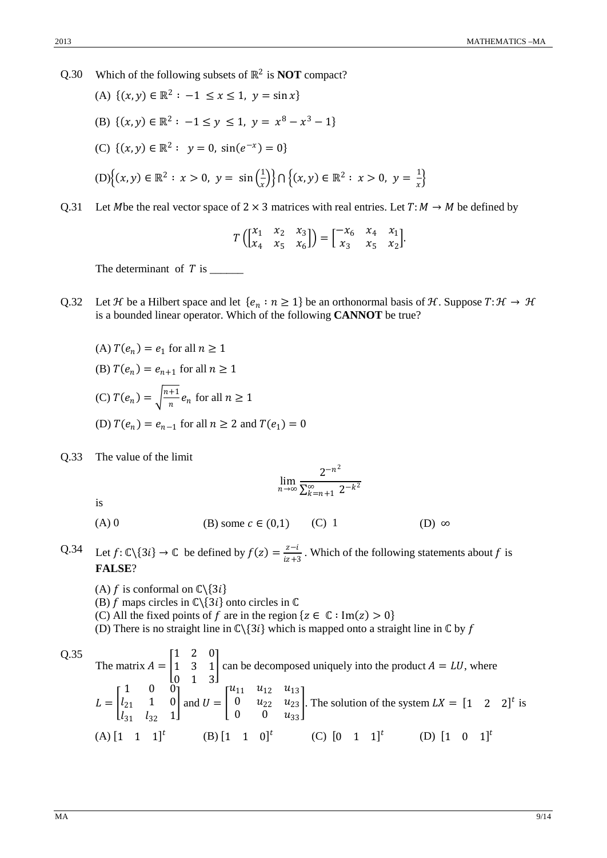Q.30 Which of the following subsets of ℝ<sup>2</sup> is **NOT** compact?

(A) 
$$
\{(x, y) \in \mathbb{R}^2 : -1 \le x \le 1, y = \sin x\}
$$
  
\n(B)  $\{(x, y) \in \mathbb{R}^2 : -1 \le y \le 1, y = x^8 - x^3 - 1\}$   
\n(C)  $\{(x, y) \in \mathbb{R}^2 : y = 0, \sin(e^{-x}) = 0\}$   
\n(D)  $\{(x, y) \in \mathbb{R}^2 : x > 0, y = \sin(\frac{1}{x})\} \cap \{(x, y) \in \mathbb{R}^2 : x > 0, y = \frac{1}{x}\}$ 

Q.31 Let Mbe the real vector space of 2  $\times$  3 matrices with real entries. Let  $T: M \rightarrow M$  be defined by

$$
T\begin{pmatrix} x_1 & x_2 & x_3 \ x_4 & x_5 & x_6 \end{pmatrix} = \begin{bmatrix} -x_6 & x_4 & x_1 \ x_3 & x_5 & x_2 \end{bmatrix}.
$$

The determinant of  $T$  is  $\_\_\_\_\_\_\_\_\_\_\_\_\_\_\_\_\_\_\_\_\_\_\_\_\_\_\_\_\_\_\_\_\_\_$ 

Q.32 Let *H* be a Hilbert space and let  $\{e_n : n \geq 1\}$  be an orthonormal basis of *H*. Suppose  $T: \mathcal{H} \to \mathcal{H}$ is a bounded linear operator. Which of the following **CANNOT** be true?

(A)  $T(e_n) = e_1$  for all  $n \ge 1$ (B)  $T(e_n) = e_{n+1}$  for all  $n \ge 1$ (C)  $T(e_n) = \sqrt{\frac{n+1}{n}} e_n$  for all  $n \ge 1$ (D)  $T(e_n) = e_{n-1}$  for all  $n \ge 2$  and  $T(e_1) = 0$ 

Q.33 The value of the limit

$$
\lim_{n\to\infty}\frac{2^{-n^2}}{\sum_{k=n+1}^{\infty}2^{-k^2}}
$$

is

- (A) 0 (B) some  $c \in (0,1)$  (C) 1 (D)  $\infty$
- Q.34 Let  $f: \mathbb{C}\backslash\{3i\} \to \mathbb{C}$  be defined by  $f(z) = \frac{z-i}{iz+3}$ . Which of the following statements about f is **FALSE**?
	- (A)  $f$  is conformal on  $\mathbb{C}\backslash\{3i\}$
	- (B)  $f$  maps circles in  $\mathbb{C}\setminus\{3i\}$  onto circles in  $\mathbb C$
	- (C) All the fixed points of f are in the region  $\{z \in \mathbb{C} : \text{Im}(z) > 0\}$
	- (D) There is no straight line in  $\mathbb{C}\setminus\{3i\}$  which is mapped onto a straight line in  $\mathbb{C}$  by f

Q.35 The matrix 
$$
A = \begin{bmatrix} 1 & 2 & 0 \ 1 & 3 & 1 \ 0 & 1 & 3 \end{bmatrix}
$$
 can be decomposed uniquely into the product  $A = LU$ , where  
\n
$$
L = \begin{bmatrix} 1 & 0 & 0 \ l_{21} & 1 & 0 \ l_{31} & l_{32} & 1 \end{bmatrix}
$$
 and  $U = \begin{bmatrix} u_{11} & u_{12} & u_{13} \ 0 & u_{22} & u_{23} \ 0 & 0 & u_{33} \end{bmatrix}$ . The solution of the system  $LK = \begin{bmatrix} 1 & 2 & 2 \end{bmatrix}^t$  is  
\n(A)  $\begin{bmatrix} 1 & 1 & 1 \end{bmatrix}^t$  (B)  $\begin{bmatrix} 1 & 1 & 0 \end{bmatrix}^t$  (C)  $\begin{bmatrix} 0 & 1 & 1 \end{bmatrix}^t$  (D)  $\begin{bmatrix} 1 & 0 & 1 \end{bmatrix}^t$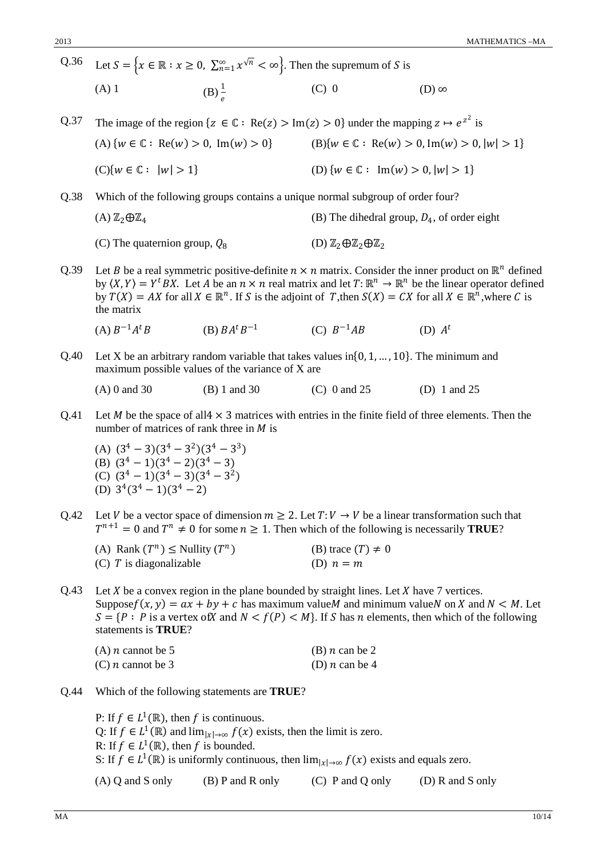Q.36 Let  $S = \{x \in \mathbb{R} : x \ge 0, \sum_{n=1}^{\infty} x^{\sqrt{n}} < \infty\}$ . Then the supremum of S is (A) 1 (B)  $\frac{1}{e}$ (C) 0 (D)  $\infty$ Q.37 The image of the region  $\{z \in \mathbb{C} : \text{Re}(z) > \text{Im}(z) > 0\}$  under the mapping  $z \mapsto e^{z^2}$  is (A)  $\{w \in \mathbb{C} : \text{Re}(w) > 0, \text{Im}(w) > 0\}$  (B) $\{w \in \mathbb{C} : \text{Re}(w) > 0, \text{Im}(w) > 0, |w| > 1\}$ 

(C){
$$
w \in \mathbb{C}: |w| > 1
$$
}  
(D) { $w \in \mathbb{C}: \text{Im}(w) > 0, |w| > 1$ }

Q.38 Which of the following groups contains a unique normal subgroup of order four?

(A) 
$$
\mathbb{Z}_2 \oplus \mathbb{Z}_4
$$
 (B) The dihedral group,  $D_4$ , of order eight

(C) The quaternion group, 
$$
Q_8
$$
 (D)  $\mathbb{Z}_2 \oplus \mathbb{Z}_2 \oplus \mathbb{Z}_2$ 

Q.39 Let *B* be a real symmetric positive-definite  $n \times n$  matrix. Consider the inner product on  $\mathbb{R}^n$  defined by  $\langle X, Y \rangle = Y^t BX$ . Let A be an  $n \times n$  real matrix and let  $T: \mathbb{R}^n \to \mathbb{R}^n$  be the linear operator defined by  $T(X) = AX$  for all  $X \in \mathbb{R}^n$ . If S is the adjoint of T, then  $S(X) = CX$  for all  $X \in \mathbb{R}^n$ , where C is the matrix

(A) 
$$
B^{-1}A^tB
$$
 (B)  $BA^tB^{-1}$  (C)  $B^{-1}AB$  (D)  $A^t$ 

Q.40 Let X be an arbitrary random variable that takes values in $\{0, 1, ..., 10\}$ . The minimum and maximum possible values of the variance of X are

(A) 0 and 30 (B) 1 and 30 (C) 0 and 25 (D) 1 and 25

- Q.41 Let *M* be the space of all4  $\times$  3 matrices with entries in the finite field of three elements. Then the number of matrices of rank three in  *is* 
	- (A)  $(3^4 3)(3^4 3^2)(3^4 3^3)$ (B)  $(3^4 - 1)(3^4 - 2)(3^4 - 3)$ (C)  $(3^4 - 1)(3^4 - 3)(3^4 - 3^2)$ (D)  $3^4(3^4-1)(3^4-2)$
- Q.42 Let V be a vector space of dimension  $m \ge 2$ . Let  $T: V \to V$  be a linear transformation such that  $T^{n+1} = 0$  and  $T^n \neq 0$  for some  $n \geq 1$ . Then which of the following is necessarily **TRUE**?

| (A) Rank $(T^n) \le$ Nullity $(T^n)$ | (B) trace $(T) \neq 0$ |
|--------------------------------------|------------------------|
| $(C)$ T is diagonalizable            | (D) $n = m$            |

Q.43 Let X be a convex region in the plane bounded by straight lines. Let X have 7 vertices. Suppose  $f(x, y) = ax + by + c$  has maximum value *M* and minimum value *N* on *X* and *N* < *M*. Let  $S = \{ P : P \text{ is a vertex of } X \text{ and } N < f(P) < M \}$ . If S has *n* elements, then which of the following statements is **TRUE**?

| $(A)$ <i>n</i> cannot be 5 | (B) $n$ can be 2 |
|----------------------------|------------------|
| $(C)$ <i>n</i> cannot be 3 | (D) $n$ can be 4 |

Q.44 Which of the following statements are **TRUE**?

P: If  $f \in L^1(\mathbb{R})$ , then f is continuous. Q: If  $f \in L^1(\mathbb{R})$  and  $\lim_{|x| \to \infty} f(x)$  exists, then the limit is zero. R: If  $f \in L^1(\mathbb{R})$ , then f is bounded. S: If  $f \in L^1(\mathbb{R})$  is uniformly continuous, then  $\lim_{|x| \to \infty} f(x)$  exists and equals zero. (A) Q and S only (B) P and R only (C) P and Q only (D) R and S only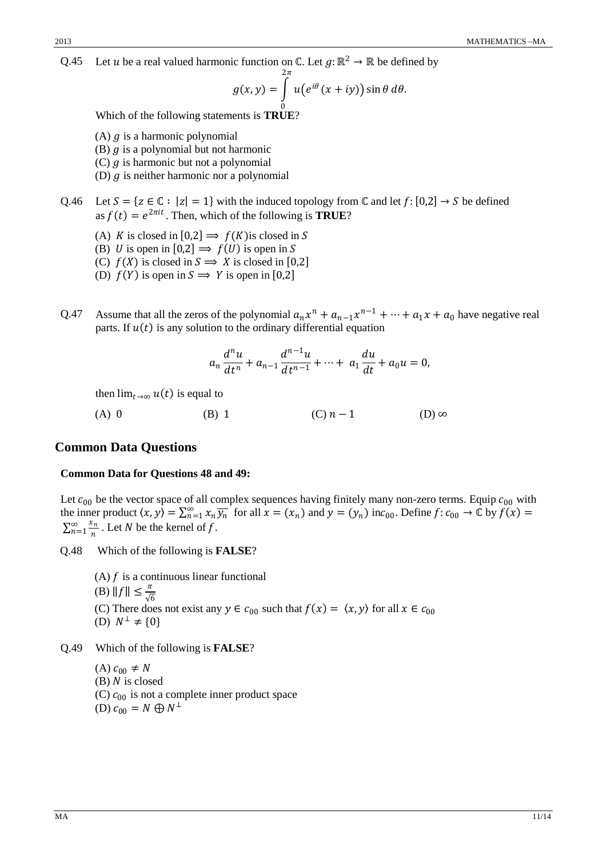Q.45 Let *u* be a real valued harmonic function on  $\mathbb{C}$ . Let  $g: \mathbb{R}^2 \to \mathbb{R}$  be defined by

$$
g(x,y) = \int\limits_{0}^{2\pi} u(e^{i\theta}(x+iy)) \sin \theta \, d\theta.
$$

0 Which of the following statements is **TRUE**?

- (A)  $q$  is a harmonic polynomial
- (B)  $q$  is a polynomial but not harmonic
- (C)  $q$  is harmonic but not a polynomial
- (D)  $q$  is neither harmonic nor a polynomial

Q.46 Let  $S = \{ z \in \mathbb{C} : |z| = 1 \}$  with the induced topology from  $\mathbb{C}$  and let  $f: [0,2] \to S$  be defined as  $f(t) = e^{2\pi i t}$ . Then, which of the following is **TRUE**?

- (A) K is closed in  $[0,2] \Rightarrow f(K)$ is closed in S
- (B) U is open in [0,2]  $\Rightarrow$   $f(U)$  is open in S
- (C)  $f(X)$  is closed in  $S \implies X$  is closed in [0,2]
- (D)  $f(Y)$  is open in  $S \implies Y$  is open in [0,2]
- Q.47 Assume that all the zeros of the polynomial  $a_n x^n + a_{n-1} x^{n-1} + \cdots + a_1 x + a_0$  have negative real parts. If  $u(t)$  is any solution to the ordinary differential equation

$$
a_n \frac{d^n u}{dt^n} + a_{n-1} \frac{d^{n-1} u}{dt^{n-1}} + \dots + a_1 \frac{du}{dt} + a_0 u = 0,
$$

then  $\lim_{t\to\infty} u(t)$  is equal to

(A) 0 (B) 1 (C)  $n-1$  (D) ∞

#### **Common Data Questions**

#### **Common Data for Questions 48 and 49:**

Let  $c_{00}$  be the vector space of all complex sequences having finitely many non-zero terms. Equip  $c_{00}$  with the inner product  $\langle x, y \rangle = \sum_{n=1}^{\infty} x_n \overline{y_n}$  for all  $x = (x_n)$  and  $y = (y_n)$  inc<sub>00</sub>. Define  $f: c_{00} \to \mathbb{C}$  by  $f(x) =$  $\sum_{n=1}^{\infty} \frac{x_n}{n}$  $\sum_{n=1}^{\infty} \frac{x_n}{n}$ . Let N be the kernel of f.

Q.48 Which of the following is **FALSE**?

(A)  $f$  is a continuous linear functional (B)  $||f|| \leq \frac{\pi}{\sqrt{6}}$ (C) There does not exist any  $y \in c_{00}$  such that  $f(x) = \langle x, y \rangle$  for all  $x \in c_{00}$ (D)  $N^{\perp}$  ≠ {0}

Q.49 Which of the following is **FALSE**?

 $(A)$   $c_{00}$  ≠ N  $(B)$  N is closed (C)  $c_{00}$  is not a complete inner product space (D)  $c_{00} = N \bigoplus N^{\perp}$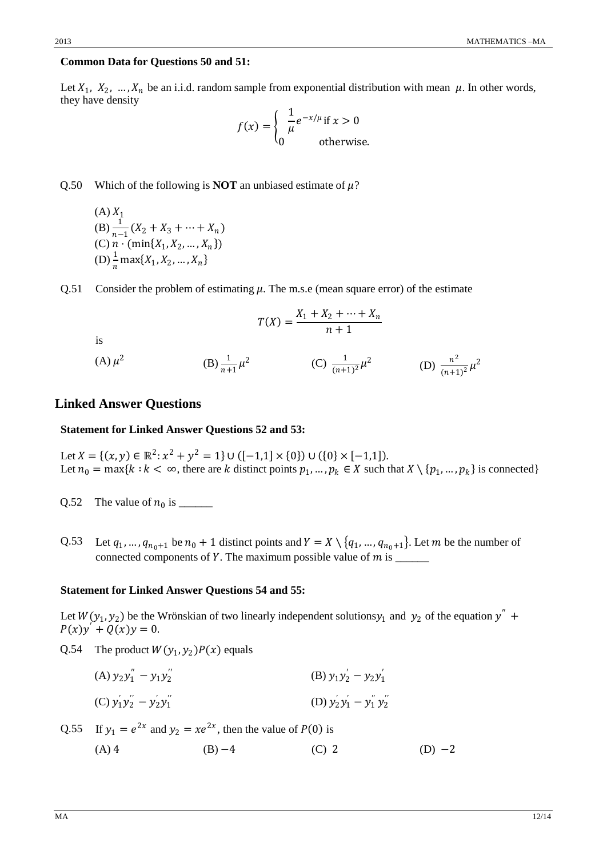#### **Common Data for Questions 50 and 51:**

Let  $X_1, X_2, ..., X_n$  be an i.i.d. random sample from exponential distribution with mean  $\mu$ . In other words, they have density

$$
f(x) = \begin{cases} \frac{1}{\mu} e^{-x/\mu} \text{ if } x > 0\\ 0 \text{ otherwise.} \end{cases}
$$

Q.50 Which of the following is **NOT** an unbiased estimate of  $\mu$ ?

- (A)  $X_1$ (B)  $\frac{1}{n-1}(X_2 + X_3 + \cdots + X_n)$ (C)  $n \cdot (\min\{X_1, X_2, ..., X_n\})$ (D)  $\frac{1}{n} \max\{X_1, X_2, ..., X_n\}$
- Q.51 Consider the problem of estimating  $\mu$ . The m.s.e (mean square error) of the estimate

$$
T(X) = \frac{X_1 + X_2 + \dots + X_n}{n+1}
$$

is

(A)  $\mu^2$  (B)  $\frac{1}{n+1} \mu^2$  (C)  $\frac{1}{(n+1)^2} \mu^2$  (D)  $\frac{n^2}{(n+1)^2} \mu^2$ 

#### **Linked Answer Questions**

#### **Statement for Linked Answer Questions 52 and 53:**

Let  $X = \{(x, y) \in \mathbb{R}^2 \colon x^2 + y^2 = 1\} \cup \{[-1, 1] \times \{0\} \cup \{0\} \times [-1, 1]\}.$ Let  $n_0 = \max\{k : k < \infty$ , there are k distinct points  $p_1, ..., p_k \in X$  such that  $X \setminus \{p_1, ..., p_k\}$  is connected}

- Q.52 The value of <sup>0</sup> is \_\_\_\_\_\_
- Q.53 Let  $q_1, ..., q_{n_0+1}$  be  $n_0 + 1$  distinct points and  $Y = X \setminus \{q_1, ..., q_{n_0+1}\}.$  Let  $m$  be the number of connected components of Y. The maximum possible value of  $m$  is  $\frac{1}{1-\frac{1}{1-\frac{1}{1-\frac{1}{1-\frac{1}{1-\frac{1}{1-\frac{1}{1-\frac{1}{1-\frac{1}{1-\frac{1}{1-\frac{1}{1-\frac{1}{1-\frac{1}{1-\frac{1}{1-\frac{1}{1-\frac{1}{1-\frac{1}{1-\frac{1}{1-\frac{1}{1-\frac{1}{1-\frac{1}{1-\frac{1}{1-\frac{1}{1-\frac{1}{1-\frac{1}{1-\frac{1}{1$

#### **Statement for Linked Answer Questions 54 and 55:**

Let  $W(y_1, y_2)$  be the Wrönskian of two linearly independent solutionsy<sub>1</sub> and y<sub>2</sub> of the equation y<sup>"</sup> +  $P(x)y^{'} + Q(x)y = 0.$ 

Q.54 The product  $W(y_1, y_2)P(x)$  equals

(A) 
$$
y_2y_1'' - y_1y_2''
$$
  
\n(B)  $y_1y_2' - y_2y_1'$   
\n(C)  $y_1'y_2'' - y_2'y_1''$   
\n(D)  $y_2'y_1' - y_1''y_2''$ 

Q.55 If 
$$
y_1 = e^{2x}
$$
 and  $y_2 = xe^{2x}$ , then the value of  $P(0)$  is

(A) 4 (B)  $-4$  (C) 2 (D)  $-2$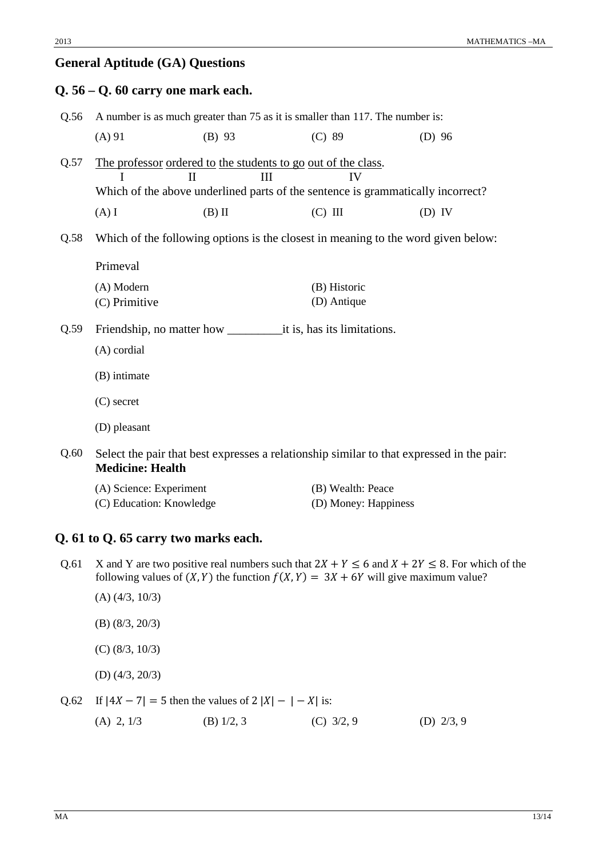# **General Aptitude (GA) Questions**

# **Q. 56 – Q. 60 carry one mark each.** Q.56 A number is as much greater than 75 as it is smaller than 117. The number is: (A) 91 (B) 93 (C) 89 (D) 96 Q.57 The professor ordered to the students to go out of the class. I II III IV Which of the above underlined parts of the sentence is grammatically incorrect? (A) I (B) II (C) III (D) IV Q.58 Which of the following options is the closest in meaning to the word given below: Primeval (A) Modern (B) Historic (C) Primitive (D) Antique Q.59 Friendship, no matter how \_\_\_\_\_\_\_\_\_it is, has its limitations. (A) cordial (B) intimate (C) secret (D) pleasant Q.60 Select the pair that best expresses a relationship similar to that expressed in the pair:

**Medicine: Health**

| (A) Science: Experiment  | (B) Wealth: Peace    |
|--------------------------|----------------------|
| (C) Education: Knowledge | (D) Money: Happiness |

### **Q. 61 to Q. 65 carry two marks each.**

- Q.61 X and Y are two positive real numbers such that  $2X + Y \le 6$  and  $X + 2Y \le 8$ . For which of the following values of  $(X, Y)$  the function  $f(X, Y) = 3X + 6Y$  will give maximum value?
	- (A) (4/3, 10/3)
	- (B) (8/3, 20/3)
	- (C) (8/3, 10/3)
	- (D) (4/3, 20/3)

Q.62 If  $|4X - 7| = 5$  then the values of  $2 |X| - |-X|$  is:

(A) 2, 1/3 (B) 1/2, 3 (C) 3/2, 9 (D) 2/3, 9